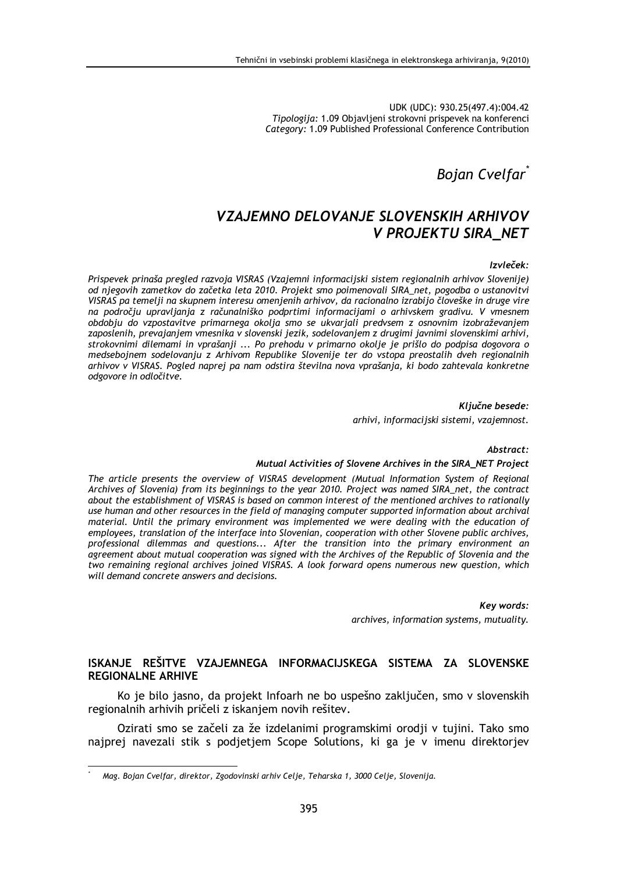UDK (UDC): 930.25(497.4):004.42 Tipologija: 1.09 Objavljeni strokovni prispevek na konferenci Category: 1.09 Published Professional Conference Contribution

**Bojan Cvelfar** 

# VZAJEMNO DELOVANJE SLOVENSKIH ARHIVOV **V PROJEKTU SIRA NET**

#### Izvleček:

Prispevek prinaša pregled razvoja VISRAS (Vzajemni informacijski sistem regionalnih arhivov Slovenije) od njegovih zametkov do začetka leta 2010. Projekt smo poimenovali SIRA\_net, pogodba o ustanovitvi VISRAS pa temelji na skupnem interesu omenjenih arhivov, da racionalno izrabijo človeške in druge vire na področju upravljanja z računalniško podprtimi informacijami o arhivskem gradivu. V vmesnem obdobju do vzpostavitve primarnega okolja smo se ukvarjali predvsem z osnovnim izobraževanjem zaposlenih, prevajanjem vmesnika v slovenski jezik, sodelovanjem z drugimi javnimi slovenskimi arhivi, strokovnimi dilemami in vprašanji ... Po prehodu v primarno okolje je prišlo do podpisa dogovora o medsebojnem sodelovanju z Arhivom Republike Slovenije ter do vstopa preostalih dveh regionalnih arhivov v VISRAS. Pogled naprej pa nam odstira številna nova vprašanja, ki bodo zahtevala konkretne odgovore in odločitve.

> Ključne besede: arhivi, informacijski sistemi, vzajemnost.

Abstract:

#### Mutual Activities of Slovene Archives in the SIRA NET Project

The article presents the overview of VISRAS development (Mutual Information System of Regional Archives of Slovenia) from its beginnings to the year 2010. Project was named SIRA\_net, the contract about the establishment of VISRAS is based on common interest of the mentioned archives to rationally use human and other resources in the field of managing computer supported information about archival material. Until the primary environment was implemented we were dealing with the education of employees, translation of the interface into Slovenian, cooperation with other Slovene public archives. professional dilemmas and questions... After the transition into the primary environment an agreement about mutual cooperation was signed with the Archives of the Republic of Slovenia and the two remaining regional archives ioined VISRAS. A look forward opens numerous new question, which will demand concrete answers and decisions.

> Key words: archives, information systems, mutuality.

### ISKANJE REŠITVE VZAJEMNEGA INFORMACIJSKEGA SISTEMA ZA SLOVENSKE **REGIONALNE ARHIVE**

Ko je bilo jasno, da projekt Infoarh ne bo uspešno zaključen, smo v slovenskih regionalnih arhivih pričeli z iskaniem novih rešitev.

Ozirati smo se začeli za že izdelanimi programskimi orodji v tujini. Tako smo najprej navezali stik s podjetjem Scope Solutions, ki ga je v imenu direktorjev

Mag. Bojan Cvelfar, direktor, Zgodovinski arhiv Celje, Teharska 1, 3000 Celje, Slovenija.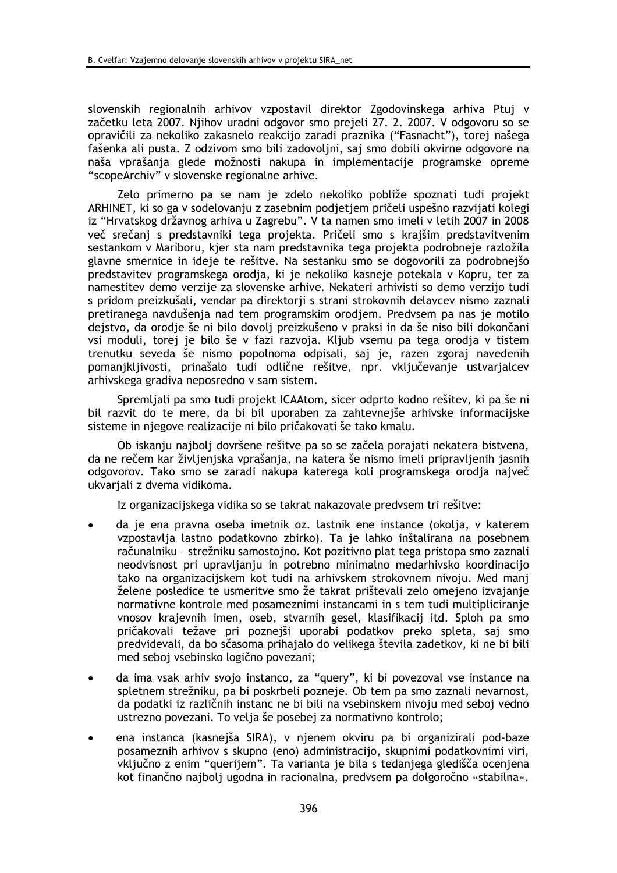slovenskih regionalnih arhivov vzpostavil direktor Zgodovinskega arhiva Ptuj v začetku leta 2007. Njihov uradni odgovor smo prejeli 27. 2. 2007. V odgovoru so se opravičili za nekoliko zakasnelo reakcijo zaradi praznika ("Fasnacht"), torej našega fašenka ali pusta. Z odzivom smo bili zadovoljni, saj smo dobili okvirne odgovore na naša vprašanja glede možnosti nakupa in implementacije programske opreme "scopeArchiv" v slovenske regionalne arhive.

Zelo primerno pa se nam je zdelo nekoliko pobliže spoznati tudi proiekt ARHINET, ki so ga v sodelovanju z zasebnim podjetjem pričeli uspešno razvijati kolegi iz "Hrvatskog državnog arhiva u Zagrebu". V ta namen smo imeli v letih 2007 in 2008 več srečani s predstavniki tega projekta. Pričeli smo s krajšim predstavitvenim sestankom v Mariboru, kjer sta nam predstavnika tega projekta podrobneje razložila glavne smernice in ideje te rešitve. Na sestanku smo se dogovorili za podrobnejšo predstavitev programskega orodja, ki je nekoliko kasneje potekala v Kopru, ter za namestitev demo verzije za slovenske arhive. Nekateri arhivisti so demo verzijo tudi s pridom preizkušali, vendar pa direktorji s strani strokovnih delavcev nismo zaznali pretiranega navdušenia nad tem programskim orodjem. Predvsem pa nas je motilo dejstvo, da orodje še ni bilo dovolj preizkušeno v praksi in da še niso bili dokončani vsi moduli, torej je bilo še v fazi razvoja. Kljub vsemu pa tega orodja v tistem trenutku seveda še nismo popolnoma odpisali, saj je, razen zgoraj navedenih pomanjkljivosti, prinašalo tudi odlične rešitve, npr. vključevanje ustvarjalcev arhivskega gradiva neposredno v sam sistem.

Spremljali pa smo tudi projekt ICAAtom, sicer odprto kodno rešitev, ki pa še ni bil razvit do te mere, da bi bil uporaben za zahtevnejše arhivske informacijske sisteme in niegove realizacije ni bilo pričakovati še tako kmalu.

Ob iskanju najbolj dovršene rešitve pa so se začela porajati nekatera bistvena. da ne rečem kar življenjska vprašanja, na katera še nismo imeli pripravljenih jasnih odgovorov. Tako smo se zaradi nakupa katerega koli programskega orodia naiveč ukvariali z dvema vidikoma.

Iz organizacijskega vidika so se takrat nakazovale predvsem tri rešitve:

- da je ena pravna oseba imetnik oz. lastnik ene instance (okolja, v katerem vzpostavlja lastno podatkovno zbirko). Ta je lahko inštalirana na posebnem računalniku - strežniku samostojno. Kot pozitivno plat tega pristopa smo zaznali neodvisnost pri upravljanju in potrebno minimalno medarhivsko koordinacijo tako na organizacijskem kot tudi na arhivskem strokovnem nivoju. Med manj želene posledice te usmeritve smo že takrat prištevali zelo omejeno izvajanje normativne kontrole med posameznimi instancami in s tem tudi multipliciranje vnosov krajevnih imen, oseb, stvarnih gesel, klasifikacij itd. Sploh pa smo pričakovali težave pri poznejši uporabi podatkov preko spleta, saj smo predvidevali, da bo sčasoma prihajalo do velikega števila zadetkov, ki ne bi bili med seboj vsebinsko logično povezani;
- da ima vsak arhiv svojo instanco, za "query", ki bi povezoval vse instance na spletnem strežniku, pa bi poskrbeli pozneje. Ob tem pa smo zaznali nevarnost, da podatki iz različnih instanc ne bi bili na vsebinskem nivoju med seboj vedno ustrezno povezani. To velja še posebej za normativno kontrolo;
- ena instanca (kasnejša SIRA), v njenem okviru pa bi organizirali pod-baze posameznih arhivov s skupno (eno) administracijo, skupnimi podatkovnimi viri, vključno z enim "querijem". Ta varianta je bila s tedanjega gledišča ocenjena kot finančno najbolj ugodna in racionalna, predvsem pa dolgoročno »stabilna«.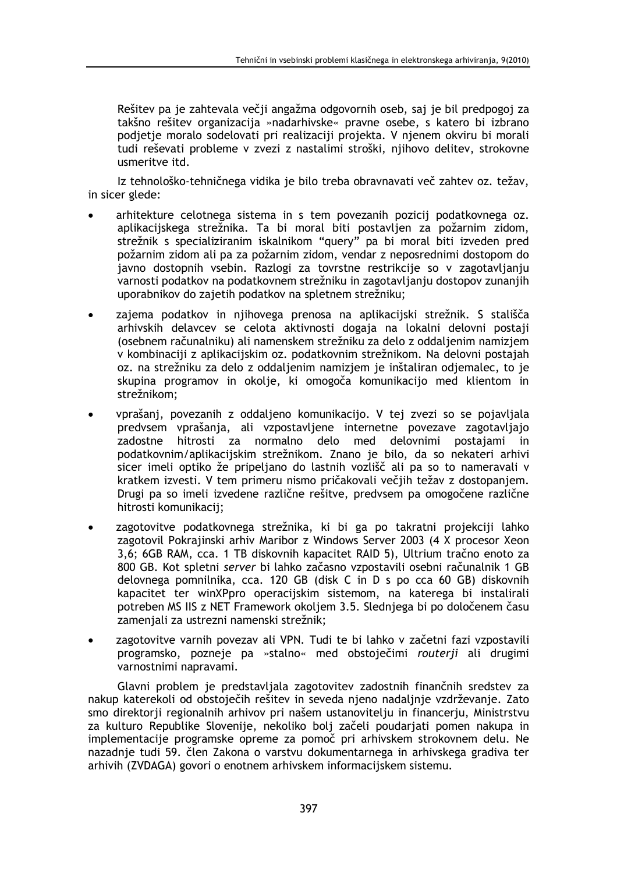Rešitev pa je zahtevala večji angažma odgovornih oseb, saj je bil predpogoj za takšno rešitev organizacija »nadarhivske« pravne osebe, s katero bi izbrano podjetje moralo sodelovati pri realizaciji projekta. V njenem okviru bi morali tudi reševati probleme v zvezi z nastalimi stroški, njihovo delitev, strokovne usmeritve itd.

Iz tehnološko-tehničnega vidika je bilo treba obravnavati več zahtev oz. težav, in sicer glede:

- arhitekture celotnega sistema in s tem povezanih pozicij podatkovnega oz. aplikacijskega strežnika. Ta bi moral biti postavljen za požarnim zidom, strežnik s specializiranim iskalnikom "query" pa bi moral biti izveden pred požarnim zidom ali pa za požarnim zidom, vendar z neposrednimi dostopom do javno dostopnih vsebin. Razlogi za tovrstne restrikcije so v zagotavljanju varnosti podatkov na podatkovnem strežniku in zagotavljanju dostopov zunanjih uporabnikov do zajetih podatkov na spletnem strežniku;
- zajema podatkov in njihovega prenosa na aplikacijski strežnik. S stališča arhivskih delavcev se celota aktivnosti dogaja na lokalni delovni postaji (osebnem računalniku) ali namenskem strežniku za delo z oddaljenim namizjem v kombinaciji z aplikacijskim oz. podatkovnim strežnikom. Na delovni postajah oz. na strežniku za delo z oddaljenim namizjem je inštaliran odjemalec, to je skupina programov in okolje, ki omogoča komunikacijo med klientom in strežnikom;
- vprašanį, povezanih z oddalieno komunikacijo. V tej zvezi so se pojavliala predysem vprašanja, ali vzpostavljene internetne povezave zagotavljajo zadostne hitrosti za normalno delo med delovnimi postajami in podatkovnim/aplikacijskim strežnikom. Znano je bilo, da so nekateri arhivi sicer imeli optiko že pripeljano do lastnih vozlišč ali pa so to nameravali v kratkem izvesti. V tem primeru nismo pričakovali večjih težav z dostopanjem. Drugi pa so imeli izvedene različne rešitve, predvsem pa omogočene različne hitrosti komunikacii:
- zagotovitve podatkovnega strežnika, ki bi ga po takratni projekciji lahko zagotovil Pokrajinski arhiv Maribor z Windows Server 2003 (4 X procesor Xeon 3.6: 6GB RAM, cca. 1 TB diskovnih kapacitet RAID 5). Ultrium tračno enoto za 800 GB. Kot spletni server bi lahko začasno vzpostavili osebni računalnik 1 GB delovnega pomnilnika, cca. 120 GB (disk C in D s po cca 60 GB) diskovnih kapacitet ter winXPpro operacijskim sistemom, na katerega bi instalirali potreben MS IIS z NET Framework okoljem 3.5. Slednjega bi po določenem času zamenjali za ustrezni namenski strežnik;
- zagotovitve varnih povezav ali VPN. Tudi te bi lahko v začetni fazi vzpostavili programsko, pozneje pa »stalno« med obstoječimi routerji ali drugimi varnostnimi napravami.

Glavni problem je predstavljala zagotovitev zadostnih finančnih sredstev za nakup katerekoli od obstoječih rešitev in seveda njeno nadaljnje vzdrževanje. Zato smo direktorji regionalnih arhivov pri našem ustanovitelju in financerju, Ministrstvu za kulturo Republike Slovenije, nekoliko bolj začeli poudarjati pomen nakupa in implementacije programske opreme za pomoč pri arhivskem strokovnem delu. Ne nazadnje tudi 59. člen Zakona o varstvu dokumentarnega in arhivskega gradiva ter arhivih (ZVDAGA) govori o enotnem arhivskem informacijskem sistemu.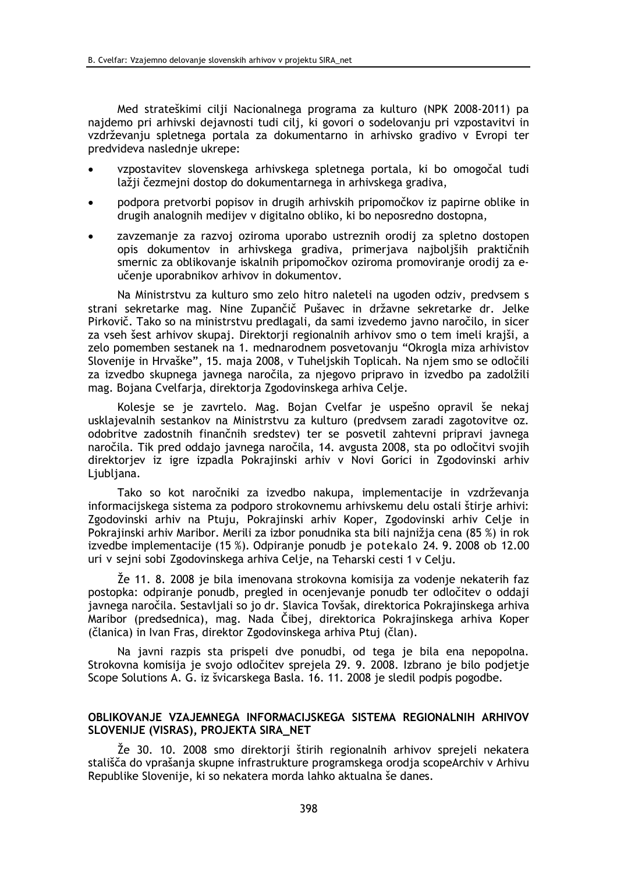Med strateškimi cilji Nacionalnega programa za kulturo (NPK 2008-2011) pa najdemo pri arhivski dejavnosti tudi cilj, ki govori o sodelovanju pri vzpostavitvi in vzdrževanju spletnega portala za dokumentarno in arhivsko gradivo v Evropi ter predvideva naslednje ukrepe:

- vzpostavitev slovenskega arhivskega spletnega portala, ki bo omogočal tudi lažji čezmejni dostop do dokumentarnega in arhivskega gradiva,
- podpora pretvorbi popisov in drugih arhivskih pripomočkov iz papirne oblike in drugih analognih medijev v digitalno obliko, ki bo neposredno dostopna,
- zavzemanje za razvoj oziroma uporabo ustreznih orodij za spletno dostopen opis dokumentov in arhivskega gradiva, primerjava najboljših praktičnih smernic za oblikovanje iskalnih pripomočkov oziroma promoviranje orodij za eučenje uporabnikov arhivov in dokumentov.

Na Ministrstvu za kulturo smo zelo hitro naleteli na ugoden odziv, predvsem s strani sekretarke mag. Nine Zupančič Pušavec in državne sekretarke dr. Jelke Pirkovič. Tako so na ministrstvu predlagali, da sami izvedemo javno naročilo, in sicer za vseh šest arhivov skupaj. Direktorji regionalnih arhivov smo o tem imeli krajši, a zelo pomemben sestanek na 1. mednarodnem posvetovanju "Okrogla miza arhivistov Slovenije in Hrvaške", 15. maja 2008, v Tuheljskih Toplicah. Na njem smo se odločili za izvedbo skupnega javnega naročila, za njegovo pripravo in izvedbo pa zadolžili mag. Bojana Cvelfarja, direktorja Zgodovinskega arhiva Celje.

Kolesje se je zavrtelo. Mag. Bojan Cvelfar je uspešno opravil še nekaj usklajevalnih sestankov na Ministrstvu za kulturo (predvsem zaradi zagotovitve oz. odobritve zadostnih finančnih sredstev) ter se posvetil zahtevni pripravi javnega naročila. Tik pred oddajo javnega naročila, 14. avgusta 2008, sta po odločitvi svojih direktoriev iz igre izpadla Pokrajinski arhiv v Novi Gorici in Zgodovinski arhiv Liubliana.

Tako so kot naročniki za izvedbo nakupa, implementacije in vzdrževanja informacijskega sistema za podporo strokovnemu arhivskemu delu ostali štirie arhivi: Zgodovinski arhiv na Ptuju, Pokrajinski arhiv Koper, Zgodovinski arhiv Celje in Pokrajinski arhiv Maribor. Merili za izbor ponudnika sta bili najnižia cena (85 %) in rok izvedbe implementacije (15 %). Odpiranje ponudb je potekalo 24. 9. 2008 ob 12.00 uri v sejni sobi Zgodovinskega arhiva Celje, na Teharski cesti 1 v Celju.

Že 11. 8. 2008 je bila imenovana strokovna komisija za vodenje nekaterih faz postopka: odpiranje ponudb, pregled in ocenjevanje ponudb ter odločitev o oddaji javnega naročila. Sestavljali so jo dr. Slavica Tovšak, direktorica Pokrajinskega arhiva Maribor (predsednica), mag. Nada Čibej, direktorica Pokrajinskega arhiva Koper (članica) in Ivan Fras, direktor Zgodovinskega arhiva Ptuj (član).

Na javni razpis sta prispeli dve ponudbi, od tega je bila ena nepopolna. Strokovna komisija je svojo odločitev sprejela 29. 9. 2008. Izbrano je bilo podjetje Scope Solutions A. G. iz švicarskega Basla, 16, 11, 2008 je sledil podpis pogodbe.

### OBLIKOVANJE VZAJEMNEGA INFORMACIJSKEGA SISTEMA REGIONALNIH ARHIVOV SLOVENIJE (VISRAS), PROJEKTA SIRA\_NET

Že 30. 10. 2008 smo direktorji štirih regionalnih arhivov sprejeli nekatera stališča do vprašanja skupne infrastrukture programskega orodja scopeArchiv v Arhivu Republike Slovenije, ki so nekatera morda lahko aktualna še danes.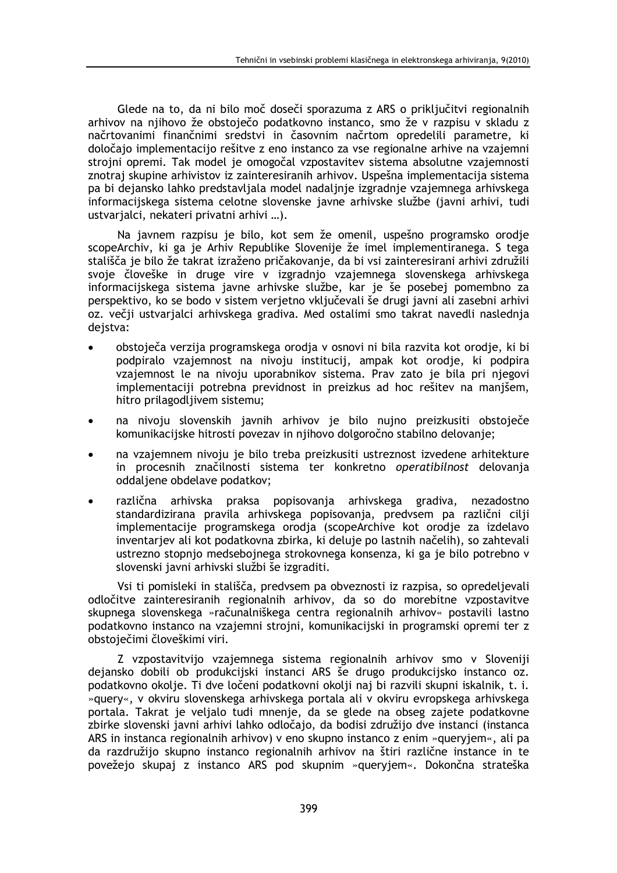Glede na to, da ni bilo moč doseči sporazuma z ARS o priključitvi regionalnih arhivov na njihovo že obstoječo podatkovno instanco, smo že v razpisu v skladu z načrtovanimi finančnimi sredstvi in časovnim načrtom opredelili parametre, ki določajo implementacijo rešitve z eno instanco za vse regionalne arhive na vzajemni strojni opremi. Tak model je omogočal vzpostavitev sistema absolutne vzajemnosti znotraj skupine arhivistov iz zainteresiranih arhivov. Uspešna implementacija sistema pa bi dejansko lahko predstavljala model nadaljnje izgradnje vzajemnega arhivskega informacijskega sistema celotne slovenske javne arhivske službe (javni arhivi, tudi ustvarjalci, nekateri privatni arhivi ...).

Na javnem razpisu je bilo, kot sem že omenil, uspešno programsko orodje scopeArchiv, ki ga je Arhiv Republike Slovenije že imel implementiranega. S tega stališča je bilo že takrat izraženo pričakovanje, da bi vsi zainteresirani arhivi združili svoje človeške in druge vire v izgradnjo vzajemnega slovenskega arhivskega informacijskega sistema javne arhivske službe, kar je še posebej pomembno za perspektivo, ko se bodo v sistem verjetno vključevali še drugi javni ali zasebni arhivi oz. večji ustvarjalci arhivskega gradiva. Med ostalimi smo takrat navedli naslednja dejstva:

- obstoječa verzija programskega orodja v osnovi ni bila razvita kot orodje, ki bi podpiralo vzajemnost na nivoju institucij, ampak kot orodje, ki podpira vzajemnost le na nivoju uporabnikov sistema. Prav zato je bila pri njegovi implementaciji potrebna previdnost in preizkus ad hoc rešitev na manjšem, hitro prilagodljivem sistemu;
- na nivoju slovenskih javnih arhivov je bilo nujno preizkusiti obstoječe  $\bullet$ komunikacijske hitrosti povezav in njihovo dolgoročno stabilno delovanie:
- na vzajemnem nivoju je bilo treba preizkusiti ustreznost izvedene arhitekture in procesnih značilnosti sistema ter konkretno operatibilnost delovanja oddaljene obdelave podatkov;
- različna arhivska praksa popisovanja arhivskega gradiva, nezadostno standardizirana pravila arhivskega popisovanja, predvsem pa različni cilji implementacije programskega orodja (scopeArchive kot orodje za izdelavo inventariev ali kot podatkovna zbirka, ki deluje po lastnih načelih), so zahtevali ustrezno stopnio medsebojnega strokovnega konsenza, ki ga je bilo potrebno v slovenski javni arhivski službi še izgraditi.

Vsi ti pomisleki in stališča, predvsem pa obveznosti iz razpisa, so opredeljevali odločitve zainteresiranih regionalnih arhivov, da so do morebitne vzpostavitve skupnega slovenskega »računalniškega centra regionalnih arhivov« postavili lastno podatkovno instanco na vzajemni strojni, komunikacijski in programski opremi ter z obstoječimi človeškimi viri.

Z vzpostavitvijo vzajemnega sistema regionalnih arhivov smo v Sloveniji dejansko dobili ob produkcijski instanci ARS še drugo produkcijsko instanco oz. podatkovno okolje. Ti dve ločeni podatkovni okolji naj bi razvili skupni iskalnik, t. i. »query«, v okviru slovenskega arhivskega portala ali v okviru evropskega arhivskega portala. Takrat je veljalo tudi mnenje, da se glede na obseg zajete podatkovne zbirke slovenski javni arhivi lahko odločajo, da bodisi združijo dve instanci (instanca ARS in instanca regionalnih arhivov) v eno skupno instanco z enim »querviem«, ali pa da razdružijo skupno instanco regionalnih arhivov na štiri različne instance in te povežejo skupaj z instanco ARS pod skupnim »queryjem«. Dokončna strateška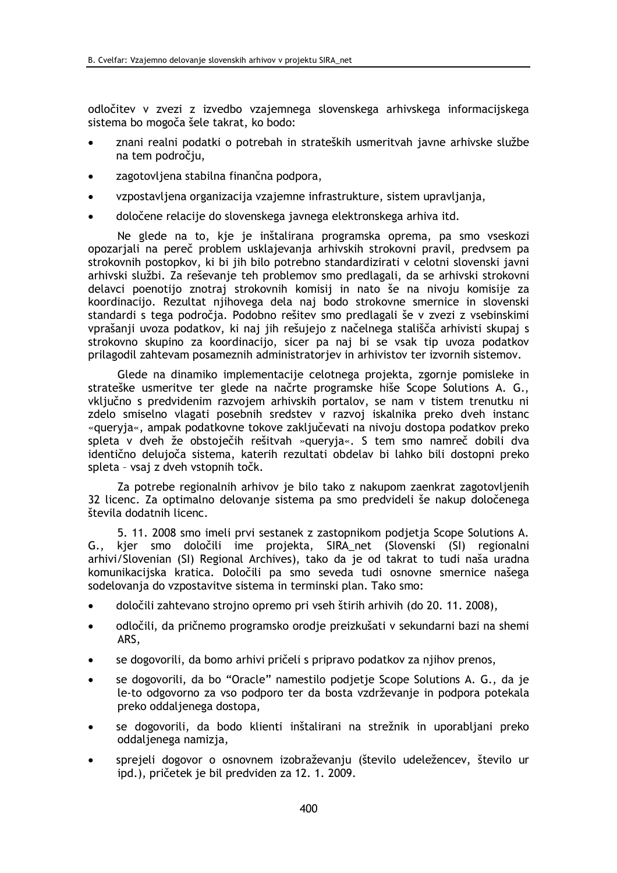odločitev v zvezi z izvedbo vzajemnega slovenskega arhivskega informacijskega sistema bo mogoča šele takrat, ko bodo:

- znani realni podatki o potrebah in strateških usmeritvah javne arhivske službe na tem področju,
- zagotovljena stabilna finančna podpora.
- vzpostavljena organizacija vzajemne infrastrukture, sistem upravljanja,
- določene relacije do slovenskega javnega elektronskega arhiva itd.  $\bullet$

Ne glede na to, kje je inštalirana programska oprema, pa smo vseskozi opozarjali na pereč problem usklajevanja arhivskih strokovni pravil, predvsem pa strokovnih postopkov, ki bi jih bilo potrebno standardizirati v celotni slovenski javni arhivski službi. Za reševanje teh problemov smo predlagali, da se arhivski strokovni delavci poenotijo znotraj strokovnih komisij in nato še na nivoju komisije za koordinacijo. Rezultat njihovega dela naj bodo strokovne smernice in slovenski standardi s tega področja. Podobno rešitev smo predlagali še v zvezi z vsebinskimi vprašanji uvoza podatkov, ki naj jih rešujejo z načelnega stališča arhivisti skupaj s strokovno skupino za koordinacijo, sicer pa naj bi se vsak tip uvoza podatkov prilagodil zahtevam posameznih administratorjev in arhivistov ter izvornih sistemov.

Glede na dinamiko implementacije celotnega projekta, zgornje pomisleke in strateške usmeritve ter glede na načrte programske hiše Scope Solutions A. G., vključno s predvidenim razvojem arhivskih portalov, se nam v tistem trenutku ni zdelo smiselno vlagati posebnih sredstev v razvoj iskalnika preko dveh instanc «quervia«, ampak podatkovne tokove zaključevati na nivoju dostopa podatkov preko spleta v dveh že obstoječih rešitvah »queryja«. S tem smo namreč dobili dva identično delujoča sistema, katerih rezultati obdelav bi lahko bili dostopni preko spleta - vsaj z dveh vstopnih točk.

Za potrebe regionalnih arhivov je bilo tako z nakupom zaenkrat zagotovljenih 32 licenc. Za optimalno delovanje sistema pa smo predvideli še nakup določenega števila dodatnih licenc

5. 11. 2008 smo imeli prvi sestanek z zastopnikom podietia Scope Solutions A. kjer smo določili ime projekta, SIRA\_net (Slovenski (SI) regionalni  $G_{\cdot\cdot}$ arhivi/Slovenian (SI) Regional Archives), tako da je od takrat to tudi naša uradna komunikacijska kratica. Določili pa smo seveda tudi osnovne smernice našega sodelovanja do vzpostavitve sistema in terminski plan. Tako smo:

- določili zahtevano strojno opremo pri vseh štirih arhivih (do 20. 11. 2008),
- odločili, da pričnemo programsko orodje preizkušati v sekundarni bazi na shemi  $\bullet$ ARS.
- se dogovorili, da bomo arhivi pričeli s pripravo podatkov za njihov prenos,
- se dogovorili, da bo "Oracle" namestilo podjetje Scope Solutions A. G., da je le-to odgovorno za vso podporo ter da bosta vzdrževanje in podpora potekala preko oddaljenega dostopa,
- se dogovorili, da bodo klienti inštalirani na strežnik in uporabljani preko oddaljenega namizja,
- sprejeli dogovor o osnovnem izobraževanju (število udeležencev, število ur ipd.), pričetek je bil predviden za 12. 1. 2009.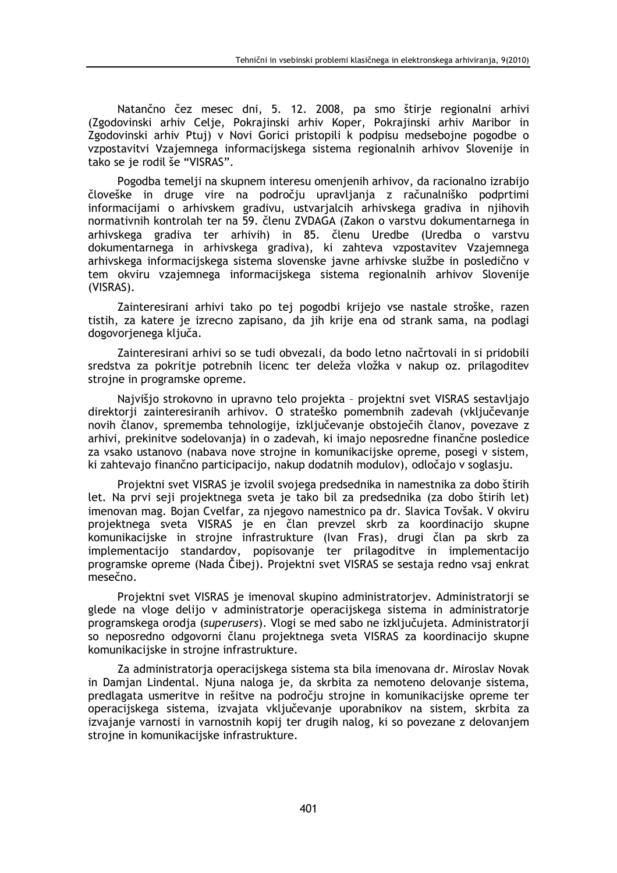Natančno čez mesec dni, 5. 12. 2008, pa smo štirje regionalni arhivi (Zgodovinski arhiv Celje, Pokrajinski arhiv Koper, Pokrajinski arhiv Maribor in Zgodovinski arhiv Ptuj) v Novi Gorici pristopili k podpisu medsebojne pogodbe o vzpostavitvi Vzajemnega informacijskega sistema regionalnih arhivov Slovenije in tako se je rodil še "VISRAS".

Pogodba temelji na skupnem interesu omenjenih arhivov, da racionalno izrabijo človeške in druge vire na področju upravljanja z računalniško podprtimi informacijami o arhivskem gradivu, ustvarjalcih arhivskega gradiva in njihovih normativnih kontrolah ter na 59. členu ZVDAGA (Zakon o varstvu dokumentarnega in arhivskega gradiva ter arhivih) in 85. členu Uredbe (Uredba o varstvu dokumentarnega in arhivskega gradiva), ki zahteva vzpostavitev Vzajemnega arhivskega informacijskega sistema slovenske javne arhivske službe in posledično v tem okviru vzajemnega informacijskega sistema regionalnih arhivov Slovenije (VISRAS).

Zainteresirani arhivi tako po tej pogodbi krijejo vse nastale stroške, razen tistih, za katere je izrecno zapisano, da jih krije ena od strank sama, na podlagi dogovorjenega ključa.

Zainteresirani arhivi so se tudi obvezali, da bodo letno načrtovali in si pridobili sredstva za pokritje potrebnih licenc ter deleža vložka v nakup oz. prilagoditev strojne in programske opreme.

Najvišjo strokovno in upravno telo projekta - projektni svet VISRAS sestavljajo direktorji zainteresiranih arhivov. O strateško pomembnih zadevah (vključevanje novih članov, sprememba tehnologije, izključevanje obstoječih članov, povezave z arhivi, prekinitve sodelovanja) in o zadevah, ki imajo neposredne finančne posledice za vsako ustanovo (nabava nove stroine in komunikacijske opreme, posegi v sistem, ki zahtevajo finančno participacijo, nakup dodatnih modulov), odločajo v soglasju.

Projektni svet VISRAS je izvolil svojega predsednika in namestnika za dobo štirih let. Na prvi seji projektnega sveta je tako bil za predsednika (za dobo štirih let) imenovan mag. Bojan Cvelfar, za njegovo namestnico pa dr. Slavica Tovšak. V okviru projektnega sveta VISRAS je en član prevzel skrb za koordinacijo skupne komunikacijske in strojne infrastrukture (Ivan Fras), drugi član pa skrb za implementacijo standardov, popisovanje ter prilagoditve in implementacijo programske opreme (Nada Čibej). Projektni svet VISRAS se sestaja redno vsaj enkrat mesečno.

Projektni svet VISRAS je imenoval skupino administratorjev. Administratorji se glede na vloge delijo v administratorje operacijskega sistema in administratorje programskega orodja (superusers). Vlogi se med sabo ne izključujeta. Administratorji so neposredno odgovorni članu projektnega sveta VISRAS za koordinacijo skupne komunikacijske in strojne infrastrukture.

Za administratorja operacijskega sistema sta bila imenovana dr. Miroslav Novak in Damjan Lindental. Njuna naloga je, da skrbita za nemoteno delovanje sistema, predlagata usmeritve in rešitve na področju strojne in komunikacijske opreme ter operacijskega sistema, izvajata vključevanje uporabnikov na sistem, skrbita za izvajanje varnosti in varnostnih kopij ter drugih nalog, ki so povezane z delovanjem strojne in komunikacijske infrastrukture.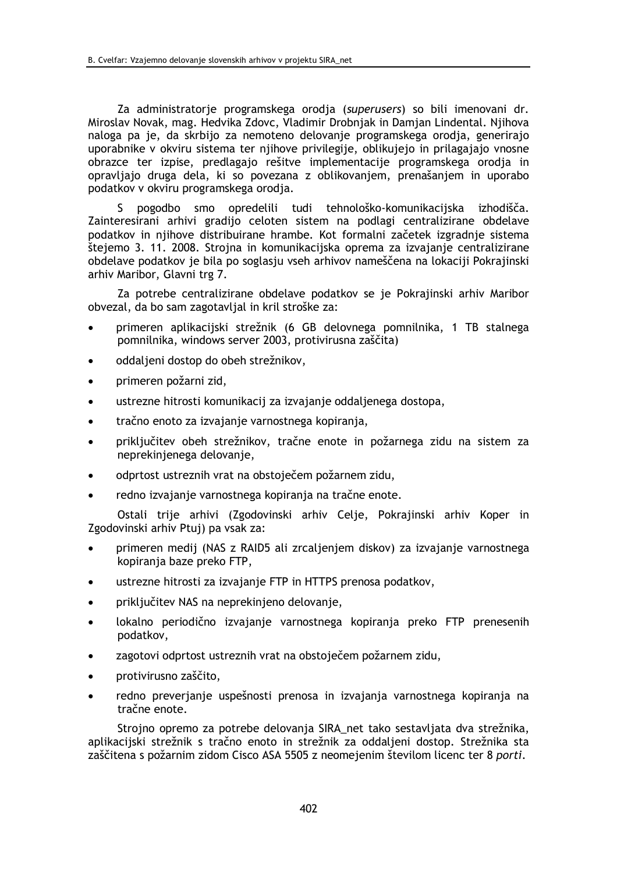Za administratorje programskega orodja (superusers) so bili imenovani dr. Miroslav Novak, mag. Hedvika Zdovc, Vladimir Drobnjak in Damjan Lindental. Njihova naloga pa je, da skrbijo za nemoteno delovanje programskega orodja, generirajo uporabnike v okviru sistema ter njihove privilegije, oblikujejo in prilagajajo vnosne obrazce ter izpise, predlagajo rešitve implementacije programskega orodja in opravljajo druga dela, ki so povezana z oblikovanjem, prenašanjem in uporabo podatkov v okviru programskega orodja.

pogodbo smo opredelili tudi tehnološko-komunikacijska izhodišča. S. Zainteresirani arhivi gradijo celoten sistem na podlagi centralizirane obdelave podatkov in njihove distribuirane hrambe. Kot formalni začetek izgradnje sistema štejemo 3. 11. 2008. Strojna in komunikacijska oprema za izvajanje centralizirane obdelave podatkov je bila po soglasju vseh arhivov nameščena na lokaciji Pokrajinski arhiv Maribor, Glavni trg 7.

Za potrebe centralizirane obdelave podatkov se je Pokrajinski arhiv Maribor obvezal, da bo sam zagotavljal in kril stroške za:

- primeren aplikacijski strežnik (6 GB delovnega pomnilnika, 1 TB stalnega  $\bullet$ pomnilnika, windows server 2003, protivirusna zaščita)
- oddaljeni dostop do obeh strežnikov,
- primeren požarni zid.
- ustrezne hitrosti komunikacij za izvajanje oddaljenega dostopa,
- tračno enoto za izvajanje varnostnega kopiranja,
- priključitev obeh strežnikov, tračne enote in požarnega zidu na sistem za neprekinjenega delovanje,
- odprtost ustreznih vrat na obstoječem požarnem zidu,
- redno izvajanje varnostnega kopiranja na tračne enote.

Ostali trije arhivi (Zgodovinski arhiv Celje, Pokrajinski arhiv Koper in Zgodovinski arhiv Ptui) pa vsak za:

- primeren medij (NAS z RAID5 ali zrcaljenjem diskov) za izvajanje varnostnega kopiranja baze preko FTP,
- ustrezne hitrosti za izvajanje FTP in HTTPS prenosa podatkov,
- priključitev NAS na neprekinjeno delovanje,
- lokalno periodično izvajanje varnostnega kopiranja preko FTP prenesenih podatkov.
- zagotovi odprtost ustreznih vrat na obstoječem požarnem zidu.
- protivirusno zaščito.
- redno preverjanje uspešnosti prenosa in izvajanja varnostnega kopiranja na  $\bullet$ tračne enote.

Strojno opremo za potrebe delovanja SIRA net tako sestavljata dva strežnika, aplikacijski strežnik s tračno enoto in strežnik za oddaljeni dostop. Strežnika sta zaščitena s požarnim zidom Cisco ASA 5505 z neomejenim številom licenc ter 8 porti.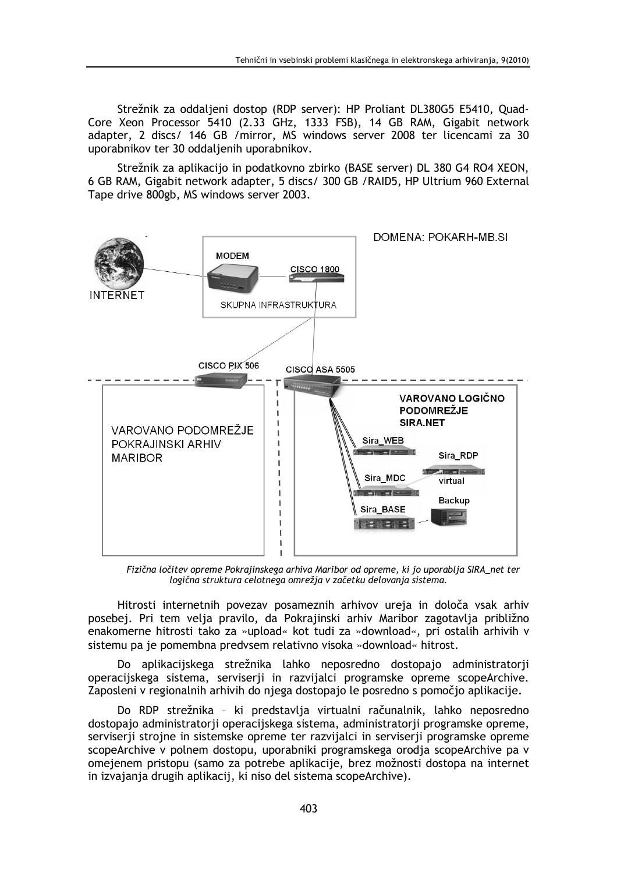Strežnik za oddaljeni dostop (RDP server): HP Proliant DL380G5 E5410, Quad-Core Xeon Processor 5410 (2.33 GHz, 1333 FSB), 14 GB RAM, Gigabit network adapter, 2 discs/ 146 GB /mirror, MS windows server 2008 ter licencami za 30 uporabnikov ter 30 oddaljenih uporabnikov.

Strežnik za aplikacijo in podatkovno zbirko (BASE server) DL 380 G4 RO4 XEON, 6 GB RAM, Gigabit network adapter, 5 discs/ 300 GB / RAID5, HP Ultrium 960 External Tape drive 800gb, MS windows server 2003.



Fizična ločitev opreme Pokrajinskega arhiva Maribor od opreme, ki jo uporablja SIRA\_net ter logična struktura celotnega omrežja v začetku delovanja sistema.

Hitrosti internetnih povezav posameznih arhivov ureja in določa vsak arhiv posebej. Pri tem velja pravilo, da Pokrajinski arhiv Maribor zagotavlja približno enakomerne hitrosti tako za »upload« kot tudi za »download«, pri ostalih arhivih v sistemu pa je pomembna predvsem relativno visoka »download« hitrost.

Do aplikacijskega strežnika lahko neposredno dostopajo administratorji operacijskega sistema, serviserji in razvijalci programske opreme scopeArchive. Zaposleni v regionalnih arhivih do njega dostopajo le posredno s pomočjo aplikacije.

Do RDP strežnika - ki predstavlja virtualni računalnik, lahko neposredno dostopajo administratorii operacijskega sistema, administratorii programske opreme, serviserii stroine in sistemske opreme ter razvijalci in serviserii programske opreme scopeArchive y polnem dostopu, uporabniki programskega orodja scopeArchive pa y omejenem pristopu (samo za potrebe aplikacije, brez možnosti dostopa na internet in izvajanja drugih aplikacij, ki niso del sistema scopeArchive).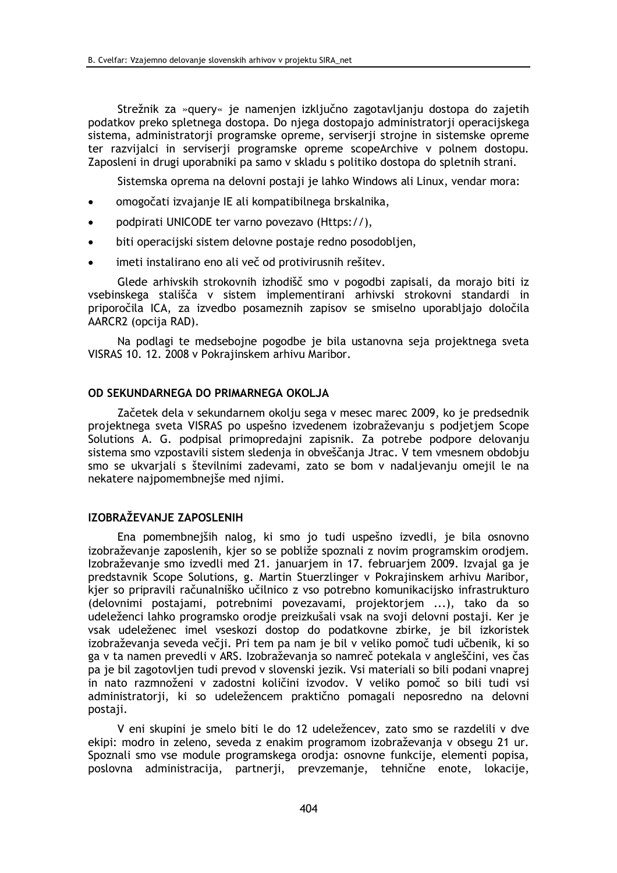Strežnik za »query« je namenjen izključno zagotavljanju dostopa do zajetih podatkov preko spletnega dostopa. Do njega dostopajo administratorji operacijskega sistema, administratorji programske opreme, serviserji strojne in sistemske opreme ter razvijalci in serviserji programske opreme scopeArchive v polnem dostopu. Zaposleni in drugi uporabniki pa samo v skladu s politiko dostopa do spletnih strani.

Sistemska oprema na delovni postaji je lahko Windows ali Linux, vendar mora:

- omogočati izvajanje IE ali kompatibilnega brskalnika,
- podpirati UNICODE ter varno povezavo (Https://),
- biti operacijski sistem delovne postaje redno posodobljen,
- imeti instalirano eno ali več od protivirusnih rešitev.

Glede arhivskih strokovnih izhodišč smo v pogodbi zapisali, da morajo biti iz vsebinskega stališča v sistem implementirani arhivski strokovni standardi in priporočila ICA, za izvedbo posameznih zapisov se smiselno uporabljajo določila AARCR2 (opcija RAD).

Na podlagi te medsebojne pogodbe je bila ustanovna seja projektnega sveta VISRAS 10. 12. 2008 v Pokrajinskem arhivu Maribor.

### OD SEKUNDARNEGA DO PRIMARNEGA OKOLJA

Začetek dela v sekundarnem okolju sega v mesec marec 2009, ko je predsednik projektnega sveta VISRAS po uspešno izvedenem izobraževanju s podjetjem Scope Solutions A. G. podpisal primopredajni zapisnik. Za potrebe podpore delovanju sistema smo vzpostavili sistem sledenja in obveščanja Jtrac. V tem vmesnem obdobju smo se ukvarjali s številnimi zadevami, zato se bom v nadaljevanju omejil le na nekatere najpomembnejše med njimi.

### IZOBRAŽEVANJE ZAPOSLENIH

Ena pomembnejših nalog, ki smo jo tudi uspešno izvedli, je bila osnovno izobraževanie zaposlenih, kier so se pobliže spoznali z novim programskim orodiem. Izobraževanie smo izvedli med 21. januariem in 17. februariem 2009. Izvajal ga je predstavnik Scope Solutions, g. Martin Stuerzlinger v Pokrajinskem arhivu Maribor, kier so pripravili računalniško učilnico z vso potrebno komunikacijsko infrastrukturo (delovnimi postajami, potrebnimi povezavami, projektorjem ...), tako da so udeleženci lahko programsko orodje preizkušali vsak na svoji delovni postaji. Ker je vsak udeleženec imel vseskozi dostop do podatkovne zbirke, je bil izkoristek izobraževanja seveda večji. Pri tem pa nam je bil v veliko pomoč tudi učbenik, ki so ga v ta namen prevedli v ARS. Izobraževanja so namreč potekala v angleščini, ves čas pa je bil zagotovljen tudi prevod v slovenski jezik. Vsi materiali so bili podani vnaprej in nato razmnoženi v zadostni količini izvodov. V veliko pomoč so bili tudi vsi administratorji, ki so udeležencem praktično pomagali neposredno na delovni postaii.

V eni skupini je smelo biti le do 12 udeležencev, zato smo se razdelili v dve ekipi: modro in zeleno, seveda z enakim programom izobraževanja v obsegu 21 ur. Spoznali smo vse module programskega orodia: osnovne funkcije, elementi popisa, poslovna administracija, partnerji, prevzemanje, tehnične enote, lokacije,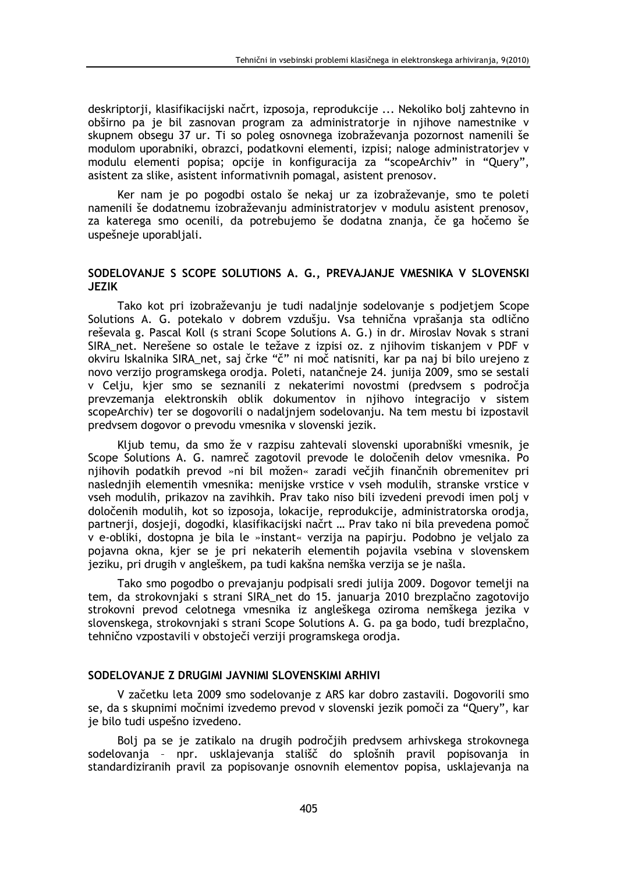deskriptorji, klasifikacijski načrt, izposoja, reprodukcije ... Nekoliko bolj zahtevno in obširno pa je bil zasnovan program za administratorje in njihove namestnike v skupnem obsegu 37 ur. Ti so poleg osnovnega izobraževanja pozornost namenili še modulom uporabniki, obrazci, podatkovni elementi, izpisi; naloge administratorjev v modulu elementi popisa; opcije in konfiguracija za "scopeArchiv" in "Query", asistent za slike, asistent informativnih pomagal, asistent prenosov.

Ker nam je po pogodbi ostalo še nekaj ur za izobraževanje, smo te poleti namenili še dodatnemu izobraževanju administratorjev v modulu asistent prenosov, za katerega smo ocenili, da potrebujemo še dodatna znanja, če ga hočemo še uspešneje uporabljali.

### SODELOVANJE S SCOPE SOLUTIONS A. G., PREVAJANJE VMESNIKA V SLOVENSKI **JEZIK**

Tako kot pri izobraževanju je tudi nadaljnje sodelovanje s podjetjem Scope Solutions A. G. potekalo v dobrem vzdušju. Vsa tehnična vprašanja sta odlično reševala g. Pascal Koll (s strani Scope Solutions A. G.) in dr. Miroslav Novak s strani SIRA net. Nerešene so ostale le težave z izpisi oz. z njihovim tiskanjem v PDF v okviru Iskalnika SIRA net, saj črke "č" ni moč natisniti, kar pa naj bi bilo urejeno z novo verzijo programskega orodja. Poleti, natančneje 24. junija 2009, smo se sestali v Celju, kjer smo se seznanili z nekaterimi novostmi (predvsem s področja prevzemania elektronskih oblik dokumentov in njihovo integracijo v sistem scopeArchiv) ter se dogovorili o nadaljnjem sodelovanju. Na tem mestu bi izpostavil predvsem dogovor o prevodu vmesnika v slovenski jezik.

Kljub temu, da smo že v razpisu zahtevali slovenski uporabniški vmesnik, je Scope Solutions A. G. namreč zagotovil prevode le določenih delov vmesnika. Po nijhovih podatkih prevod »ni bil možen« zaradi večijh finančnih obremenitev pri naslednijh elementih vmesnika: menijske vrstice v vseh modulih, stranske vrstice v yseh modulih, prikazov na zavihkih. Prav tako niso bili izvedeni prevodi imen poli v določenih modulih, kot so izposoja, lokacije, reprodukcije, administratorska orodja, partnerji, dosjeji, dogodki, klasifikacijski načrt ... Prav tako ni bila prevedena pomoč v e-obliki, dostopna je bila le »instant« verzija na papirju. Podobno je veljalo za pojavna okna, kjer se je pri nekaterih elementih pojavila vsebina v slovenskem jeziku, pri drugih v angleškem, pa tudi kakšna nemška verzija se je našla.

Tako smo pogodbo o prevajanju podpisali sredi julija 2009. Dogovor temelji na tem, da strokovnjaki s strani SIRA net do 15. januarja 2010 brezplačno zagotovijo strokovni prevod celotnega vmesnika iz angleškega oziroma nemškega jezika v slovenskega, strokovnjaki s strani Scope Solutions A. G. pa ga bodo, tudi brezplačno, tehnično vzpostavili v obstoječi verziji programskega orodja.

### SODELOVANJE Z DRUGIMI JAVNIMI SLOVENSKIMI ARHIVI

V začetku leta 2009 smo sodelovanje z ARS kar dobro zastavili. Dogovorili smo se, da s skupnimi močnimi izvedemo prevod v slovenski jezik pomoči za "Query", kar je bilo tudi uspešno izvedeno.

Bolj pa se je zatikalo na drugih področjih predvsem arhivskega strokovnega sodelovanja - npr. usklajevanja stališč do splošnih pravil popisovanja in standardiziranih pravil za popisovanje osnovnih elementov popisa, usklajevanja na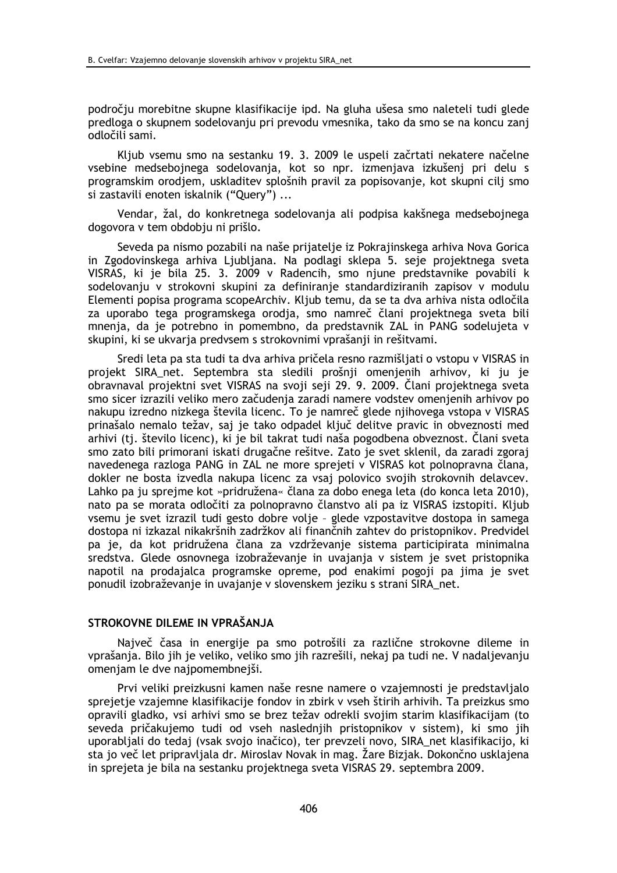področju morebitne skupne klasifikacije ipd. Na gluha ušesa smo naleteli tudi glede predloga o skupnem sodelovanju pri prevodu vmesnika, tako da smo se na koncu zanj odločili sami.

Kljub vsemu smo na sestanku 19. 3. 2009 le uspeli začrtati nekatere načelne vsebine medsebojnega sodelovanja, kot so npr. izmenjava izkušenj pri delu s programskim orodjem, uskladitev splošnih pravil za popisovanje, kot skupni cilj smo si zastavili enoten iskalnik ("Query") ...

Vendar, žal, do konkretnega sodelovanja ali podpisa kakšnega medsebojnega dogovora v tem obdobju ni prišlo.

Seveda pa nismo pozabili na naše prijatelje iz Pokrajinskega arhiva Nova Gorica in Zgodovinskega arhiva Ljubljana. Na podlagi sklepa 5. seje projektnega sveta VISRAS, ki je bila 25. 3. 2009 v Radencih, smo njune predstavnike povabili k sodelovanju v strokovni skupini za definiranje standardiziranih zapisov v modulu Elementi popisa programa scopeArchiv. Kljub temu, da se ta dva arhiva nista odločila za uporabo tega programskega orodja, smo namreč člani projektnega sveta bili mnenja, da je potrebno in pomembno, da predstavnik ZAL in PANG sodelujeta v skupini, ki se ukvarja predvsem s strokovnimi vprašanji in rešitvami.

Sredi leta pa sta tudi ta dva arhiva pričela resno razmišljati o vstopu v VISRAS in projekt SIRA net. Septembra sta sledili prošnji omenjenih arhivov, ki ju je obravnaval projektni svet VISRAS na svoji seji 29. 9. 2009. Člani projektnega sveta smo sicer izrazili veliko mero začudenja zaradi namere vodstev omenjenih arhivov po nakupu izredno nizkega števila licenc. To je namreč glede njihovega vstopa v VISRAS prinašalo nemalo težav, saj je tako odpadel ključ delitve pravic in obveznosti med arhivi (tj. število licenc), ki je bil takrat tudi naša pogodbena obveznost. Člani sveta smo zato bili primorani iskati drugačne rešitve. Zato je svet sklenil, da zaradi zgoraj navedenega razloga PANG in ZAL ne more sprejeti v VISRAS kot polnopravna člana, dokler ne bosta izvedla nakupa licenc za vsaj polovico svojih strokovnih delavcev. Lahko pa ju sprejme kot »pridružena« člana za dobo enega leta (do konca leta 2010). nato pa se morata odločiti za polnopravno članstvo ali pa iz VISRAS izstopiti. Kljub vsemu je svet izrazil tudi gesto dobre volje - glede vzpostavitve dostopa in samega dostopa ni izkazal nikakršnih zadržkov ali finančnih zahtev do pristopnikov. Predvidel pa je, da kot pridružena člana za vzdrževanje sistema participirata minimalna sredstva. Glede osnovnega izobraževanje in uvajanja v sistem je svet pristopnika napotil na prodajalca programske opreme, pod enakimi pogoji pa jima je svet ponudil izobraževanje in uvajanje v slovenskem jeziku s strani SIRA net.

### STROKOVNE DILEME IN VPRAŠANJA

Največ časa in energije pa smo potrošili za različne strokovne dileme in vprašanja. Bilo jih je veliko, veliko smo jih razrešili, nekaj pa tudi ne. V nadaljevanju omenjam le dve najpomembnejši.

Prvi veliki preizkusni kamen naše resne namere o vzajemnosti je predstavljalo sprejetje vzajemne klasifikacije fondov in zbirk v vseh štirih arhivih. Ta preizkus smo opravili gladko, vsi arhivi smo se brez težav odrekli svojim starim klasifikacijam (to seveda pričakujemo tudi od vseh naslednjih pristopnikov v sistem), ki smo jih uporabljali do tedaj (vsak svojo inačico), ter prevzeli novo, SIRA net klasifikacijo, ki sta jo več let pripravljala dr. Miroslav Novak in mag. Žare Bizjak. Dokončno usklajena in sprejeta je bila na sestanku projektnega sveta VISRAS 29. septembra 2009.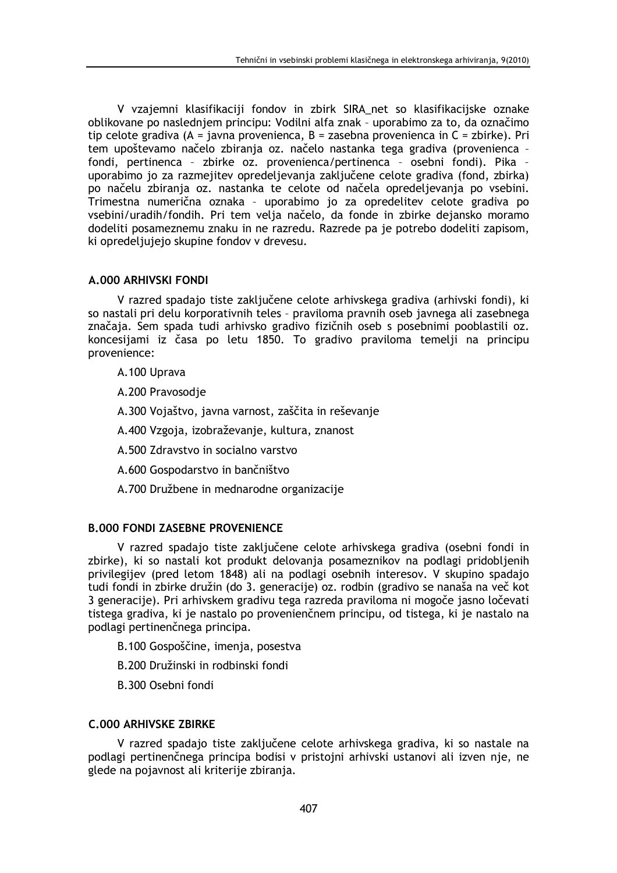V vzajemni klasifikaciji fondov in zbirk SIRA net so klasifikacijske oznake oblikovane po naslednjem principu: Vodilni alfa znak - uporabimo za to, da označimo tip celote gradiva (A = javna provenienca, B = zasebna provenienca in C = zbirke). Pri tem upoštevamo načelo zbiranja oz. načelo nastanka tega gradiva (provenienca fondi, pertinenca - zbirke oz. provenienca/pertinenca - osebni fondi). Pika uporabimo jo za razmejitev opredeljevanja zaključene celote gradiva (fond, zbirka) po načelu zbiranja oz. nastanka te celote od načela opredeljevanja po vsebini. Trimestna numerična oznaka - uporabimo jo za opredelitev celote gradiva po vsebini/uradih/fondih. Pri tem velja načelo, da fonde in zbirke dejansko moramo dodeliti posameznemu znaku in ne razredu. Razrede pa je potrebo dodeliti zapisom, ki opredeljujejo skupine fondov v drevesu.

## **A.000 ARHIVSKI FONDI**

V razred spadajo tiste zaključene celote arhivskega gradiva (arhivski fondi), ki so nastali pri delu korporativnih teles - praviloma pravnih oseb javnega ali zasebnega značaja. Sem spada tudi arhivsko gradivo fizičnih oseb s posebnimi pooblastili oz. koncesijami iz časa po letu 1850. To gradivo praviloma temelji na principu provenience:

- A.100 Uprava
- A.200 Pravosodie
- A.300 Vojaštvo, javna varnost, zaščita in reševanje
- A.400 Vzgoja, izobraževanje, kultura, znanost
- A.500 Zdravstvo in socialno varstvo
- A.600 Gospodarstvo in bančništvo
- A.700 Družbene in mednarodne organizacije

# **B.000 FONDI ZASEBNE PROVENIENCE**

V razred spadajo tiste zaključene celote arhivskega gradiva (osebni fondi in zbirke), ki so nastali kot produkt delovanja posameznikov na podlagi pridobljenih privilegijev (pred letom 1848) ali na podlagi osebnih interesov. V skupino spadajo tudi fondi in zbirke družin (do 3. generacije) oz. rodbin (gradivo se nanaša na več kot 3 generacije). Pri arhivskem gradivu tega razreda praviloma ni mogoče jasno ločevati tistega gradiva, ki je nastalo po provenienčnem principu, od tistega, ki je nastalo na podlagi pertinenčnega principa.

- B.100 Gospoščine, imenja, posestva
- B.200 Družinski in rodbinski fondi
- B.300 Osebni fondi

## **C.000 ARHIVSKE ZBIRKE**

V razred spadajo tiste zaključene celote arhivskega gradiva, ki so nastale na podlagi pertinenčnega principa bodisi v pristojni arhivski ustanovi ali izven nje, ne glede na pojavnost ali kriterije zbiranja.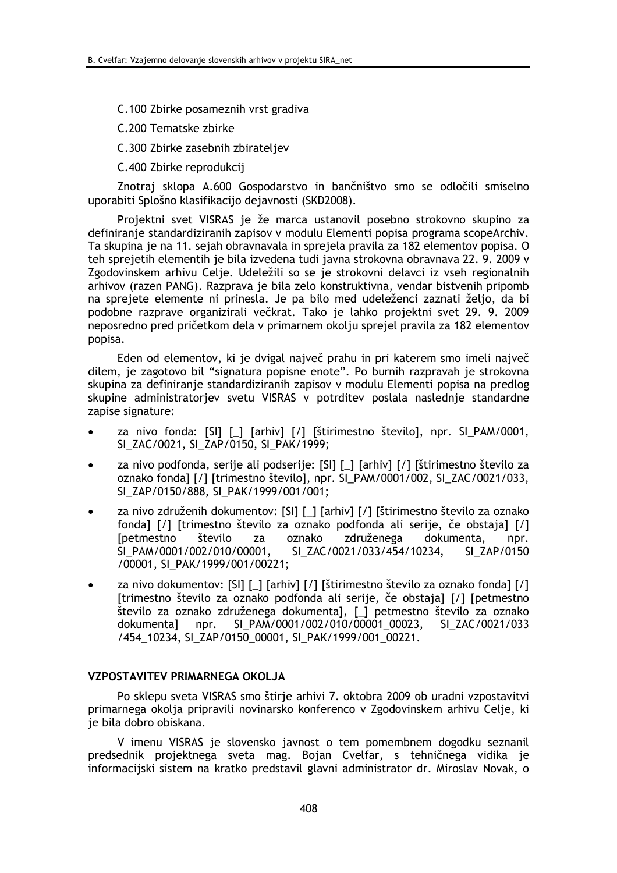C.100 Zbirke posameznih vrst gradiva

C.200 Tematske zbirke

C.300 Zbirke zasebnih zbirateljev

C.400 Zbirke reprodukcij

Znotraj sklopa A.600 Gospodarstvo in bančništvo smo se odločili smiselno uporabiti Splošno klasifikacijo dejavnosti (SKD2008).

Projektni svet VISRAS je že marca ustanovil posebno strokovno skupino za definiranje standardiziranih zapisov v modulu Elementi popisa programa scopeArchiv. Ta skupina je na 11. sejah obravnavala in sprejela pravila za 182 elementov popisa. O teh sprejetih elementih je bila izvedena tudi javna strokovna obravnava 22. 9. 2009 v Zgodovinskem arhivu Celje. Udeležili so se je strokovni delavci iz vseh regionalnih arhivov (razen PANG). Razprava je bila zelo konstruktivna, vendar bistvenih pripomb na sprejete elemente ni prinesla. Je pa bilo med udeleženci zaznati željo, da bi podobne razprave organizirali večkrat. Tako je lahko projektni svet 29. 9. 2009 neposredno pred pričetkom dela v primarnem okolju sprejel pravila za 182 elementov popisa.

Eden od elementov, ki je dvigal največ prahu in pri katerem smo imeli največ dilem, je zagotovo bil "signatura popisne enote". Po burnih razpravah je strokovna skupina za definiranje standardiziranih zapisov v modulu Elementi popisa na predlog skupine administratoriev svetu VISRAS v potrditev poslala naslednie standardne zapise signature:

- za nivo fonda: [SI] [\_] [arhiv] [/] [štirimestno število], npr. SI\_PAM/0001, SI ZAC/0021, SI ZAP/0150, SI PAK/1999;
- za nivo podfonda, serije ali podserije: [SI] [\_] [arhiv] [/] [štirimestno število za oznako fonda] [/] [trimestno število], npr. SI\_PAM/0001/002, SI\_ZAC/0021/033, SI ZAP/0150/888, SI\_PAK/1999/001/001;
- za nivo združenih dokumentov: [SI] [\_] [arhiv] [/] [štirimestno število za oznako fonda] [/] [trimestno število za oznako podfonda ali serije, če obstaja] [/] **T** petmestno število za oznako združenega dokumenta. npr. SI PAM/0001/002/010/00001. SI ZAC/0021/033/454/10234. SI ZAP/0150 /00001. SI PAK/1999/001/00221;
- za nivo dokumentov: [SI] [\_] [arhiv] [/] [štirimestno število za oznako fonda] [/] [trimestno število za oznako podfonda ali serije, če obstaja] [/] [petmestno število za oznako združenega dokumenta], [\_] petmestno število za oznako dokumenta] npr. SI\_PAM/0001/002/010/00001\_00023, SI ZAC/0021/033 /454\_10234, SI\_ZAP/0150\_00001, SI\_PAK/1999/001\_00221.

### **VZPOSTAVITEV PRIMARNEGA OKOLJA**

Po sklepu sveta VISRAS smo štirje arhivi 7. oktobra 2009 ob uradni vzpostavitvi primarnega okolja pripravili novinarsko konferenco v Zgodovinskem arhivu Celje, ki je bila dobro obiskana.

V imenu VISRAS je slovensko javnost o tem pomembnem dogodku seznanil predsednik projektnega sveta mag. Bojan Cvelfar, s tehničnega vidika je informacijski sistem na kratko predstavil glavni administrator dr. Miroslav Novak, o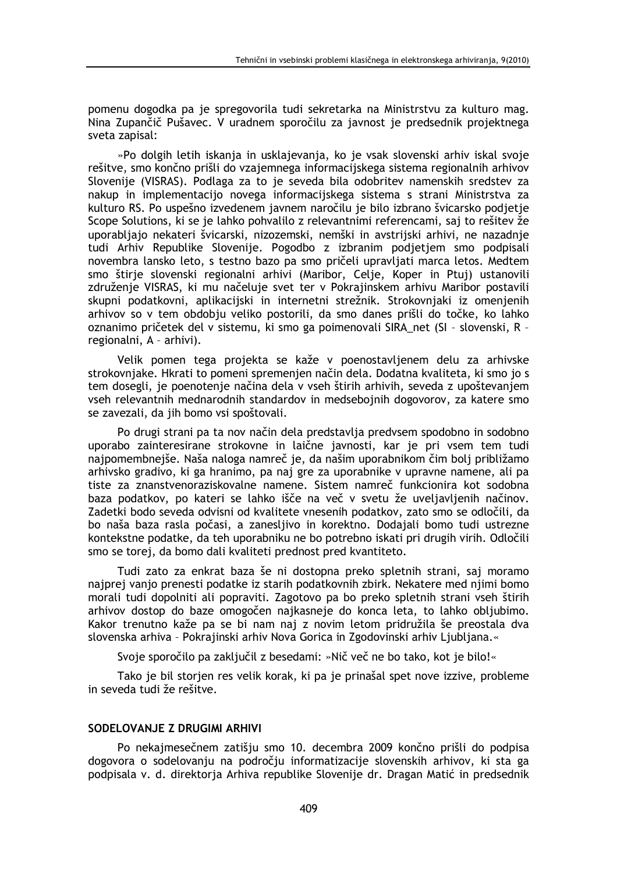pomenu dogodka pa je spregovorila tudi sekretarka na Ministrstvu za kulturo mag. Nina Zupančič Pušavec. V uradnem sporočilu za javnost je predsednik projektnega sveta zapisal:

»Po dolgih letih iskanja in usklajevanja, ko je vsak slovenski arhiv iskal svoje rešitve, smo končno prišli do vzajemnega informacijskega sistema regionalnih arhivov Slovenije (VISRAS). Podlaga za to je seveda bila odobritev namenskih sredstev za nakup in implementacijo novega informacijskega sistema s strani Ministrstva za kulturo RS. Po uspešno izvedenem javnem naročilu je bilo izbrano švicarsko podjetje Scope Solutions, ki se je lahko pohvalilo z relevantnimi referencami, saj to rešitev že uporabljajo nekateri švicarski, nizozemski, nemški in avstrijski arhivi, ne nazadnje tudi Arhiv Republike Slovenije. Pogodbo z izbranim podjetjem smo podpisali novembra lansko leto, s testno bazo pa smo pričeli upravljati marca letos. Medtem smo štirje slovenski regionalni arhivi (Maribor, Celje, Koper in Ptuj) ustanovili združenje VISRAS, ki mu načeluje svet ter v Pokrajinskem arhivu Maribor postavili skupni podatkovni, aplikacijski in internetni strežnik. Strokovnjaki iz omenjenih arhivov so v tem obdobju veliko postorili, da smo danes prišli do točke, ko lahko oznanimo pričetek del v sistemu, ki smo ga poimenovali SIRA net (SI - slovenski, R regionalni, A - arhivi).

Velik pomen tega projekta se kaže v poenostavljenem delu za arhivske strokovnjake. Hkrati to pomeni spremenjen način dela. Dodatna kvaliteta, ki smo jo s tem dosegli, je poenotenje načina dela v vseh štirih arhivih, seveda z upoštevanjem vseh relevantnih mednarodnih standardov in medsebojnih dogovorov, za katere smo se zavezali, da jih bomo vsi spoštovali.

Po drugi strani pa ta nov način dela predstavlja predvsem spodobno in sodobno uporabo zainteresirane strokovne in laične javnosti, kar je pri vsem tem tudi najpomembnejše. Naša naloga namreč je, da našim uporabnikom čim bolj približamo arhivsko gradivo, ki ga hranimo, pa naj gre za uporabnike v upravne namene, ali pa tiste za znanstvenoraziskovalne namene. Sistem namreč funkcionira kot sodobna baza podatkov, po kateri se lahko išče na več v svetu že uveljavljenih načinov. Zadetki bodo seveda odvisni od kvalitete vnesenih podatkov, zato smo se odločili, da bo naša baza rasla počasi, a zanesljivo in korektno. Dodajali bomo tudi ustrezne kontekstne podatke, da teh uporabniku ne bo potrebno iskati pri drugih virih. Odločili smo se torej, da bomo dali kvaliteti prednost pred kvantiteto.

Tudi zato za enkrat baza še ni dostopna preko spletnih strani, saj moramo najprej vanjo prenesti podatke iz starih podatkovnih zbirk. Nekatere med njimi bomo morali tudi dopolniti ali popraviti. Zagotovo pa bo preko spletnih strani vseh štirih arhivov dostop do baze omogočen najkasneje do konca leta, to lahko obljubimo. Kakor trenutno kaže pa se bi nam naj z novim letom pridružila še preostala dva slovenska arhiva - Pokrajinski arhiv Nova Gorica in Zgodovinski arhiv Ljubljana.«

Svoje sporočilo pa zaključil z besedami: »Nič več ne bo tako, kot je bilo!«

Tako je bil storjen res velik korak, ki pa je prinašal spet nove izzive, probleme in seveda tudi že rešitve.

### SODELOVANJE Z DRUGIMI ARHIVI

Po nekajmesečnem zatišju smo 10. decembra 2009 končno prišli do podpisa dogovora o sodelovanju na področju informatizacije slovenskih arhivov, ki sta ga podpisala v. d. direktorja Arhiva republike Slovenije dr. Dragan Matić in predsednik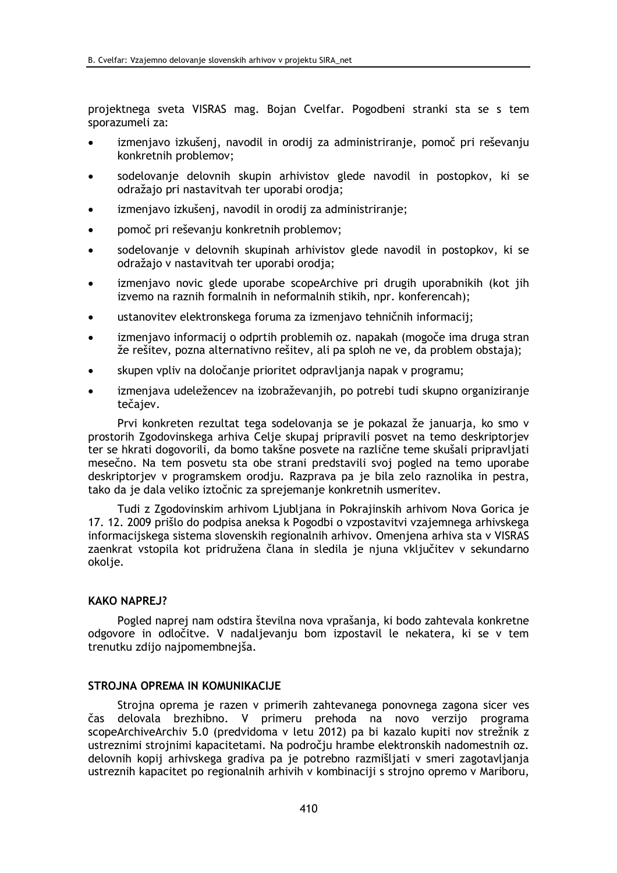projektnega sveta VISRAS mag. Bojan Cvelfar. Pogodbeni stranki sta se s tem sporazumeli za:

- izmenjavo izkušenj, navodil in orodij za administriranje, pomoč pri reševanju konkretnih problemov;
- sodelovanje delovnih skupin arhivistov glede navodil in postopkov, ki se odražajo pri nastavitvah ter uporabi orodja;
- izmenjavo izkušenj, navodil in orodij za administriranje;
- pomoč pri reševanju konkretnih problemov;
- sodelovanie v delovnih skupinah arhivistov glede navodil in postopkov, ki se odražajo v nastavitvah ter uporabi orodja;
- izmenjavo novic glede uporabe scopeArchive pri drugih uporabnikih (kot jih  $\bullet$ izvemo na raznih formalnih in neformalnih stikih, npr. konferencah);
- ustanovitev elektronskega foruma za izmenjavo tehničnih informacij;
- izmenjavo informacij o odprtih problemih oz. napakah (mogoče ima druga stran že rešitev, pozna alternativno rešitev, ali pa sploh ne ve, da problem obstaja);
- skupen vpliv na določanje prioritet odpravljanja napak v programu;
- izmenjava udeležencev na izobraževanjih, po potrebi tudi skupno organiziranje tečaiev.

Prvi konkreten rezultat tega sodelovanja se je pokazal že januarja, ko smo v prostorih Zgodovinskega arhiva Celje skupaj pripravili posvet na temo deskriptorjev ter se hkrati dogovorili, da bomo takšne posvete na različne teme skušali pripravljati mesečno. Na tem posvetu sta obe strani predstavili svoj pogled na temo uporabe deskriptoriev v programskem orodju. Razprava pa je bila zelo raznolika in pestra, tako da je dala veliko iztočnic za sprejemanje konkretnih usmeritev.

Tudi z Zgodovinskim arhivom Ljubljana in Pokrajinskih arhivom Nova Gorica je 17. 12. 2009 prišlo do podpisa aneksa k Pogodbi o vzpostavitvi vzajemnega arhivskega informaciiskega sistema slovenskih regionalnih arhivov. Omeniena arhiva sta v VISRAS zaenkrat vstopila kot pridružena člana in sledila je njuna vključitev v sekundarno okolje.

## **KAKO NAPRE 1?**

Pogled naprej nam odstira številna nova vprašanja, ki bodo zahtevala konkretne odgovore in odločitve. V nadalievaniu bom izpostavil le nekatera, ki se v tem trenutku zdijo najpomembnejša.

#### STROJNA OPREMA IN KOMUNIKACIJE

Strojna oprema je razen v primerih zahtevanega ponovnega zagona sicer ves čas delovala brezhibno. V primeru prehoda na novo verzijo programa scopeArchiveArchiv 5.0 (predvidoma v letu 2012) pa bi kazalo kupiti nov strežnik z ustreznimi strojnimi kapacitetami. Na področju hrambe elektronskih nadomestnih oz. delovnih kopij arhivskega gradiva pa je potrebno razmišljati v smeri zagotavljanja ustreznih kapacitet po regionalnih arhivih v kombinaciji s strojno opremo v Mariboru,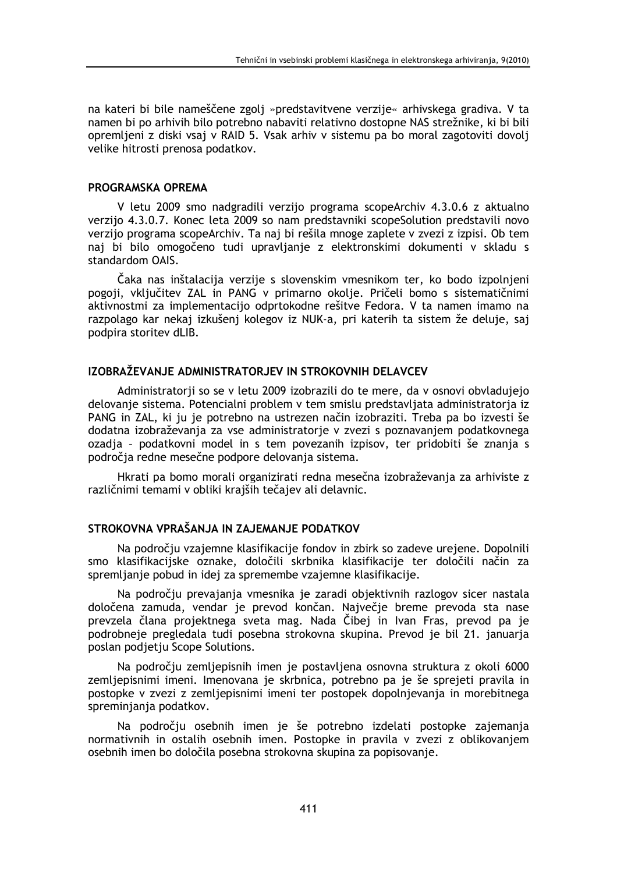na kateri bi bile nameščene zgolj »predstavitvene verzije« arhivskega gradiva. V ta namen bi po arhivih bilo potrebno nabaviti relativno dostopne NAS strežnike, ki bi bili opremljeni z diski vsaj v RAID 5. Vsak arhiv v sistemu pa bo moral zagotoviti dovolj velike hitrosti prenosa podatkov.

### PROGRAMSKA OPREMA

V letu 2009 smo nadgradili verzijo programa scopeArchiv 4.3.0.6 z aktualno verzijo 4.3.0.7. Konec leta 2009 so nam predstavniki scopeSolution predstavili novo verzijo programa scopeArchiv. Ta naj bi rešila mnoge zaplete v zvezi z izpisi. Ob tem naj bi bilo omogočeno tudi upravljanje z elektronskimi dokumenti v skladu s standardom OAIS.

Čaka nas inštalacija verzije s slovenskim vmesnikom ter, ko bodo izpolnjeni pogoji, vključitev ZAL in PANG v primarno okolje. Pričeli bomo s sistematičnimi aktivnostmi za implementacijo odprtokodne rešitve Fedora. V ta namen imamo na razpolago kar nekaj izkušenj kolegov iz NUK-a, pri katerih ta sistem že deluje, saj podpira storitev dLIB.

### IZOBRAŽEVANJE ADMINISTRATORJEV IN STROKOVNIH DELAVCEV

Administratorji so se v letu 2009 izobrazili do te mere, da v osnovi obvladujejo delovanie sistema. Potencialni problem v tem smislu predstavljata administratoria iz PANG in ZAL, ki ju je potrebno na ustrezen način izobraziti. Treba pa bo izvesti še dodatna izobraževanja za vse administratorje v zvezi s poznavanjem podatkovnega ozadja - podatkovni model in s tem povezanih izpisov, ter pridobiti še znanja s področia redne mesečne podpore delovania sistema.

Hkrati pa bomo morali organizirati redna mesečna izobraževania za arhiviste z različnimi temami v obliki krajših tečajev ali delavnic.

# STROKOVNA VPRAŠANJA IN ZAJEMANJE PODATKOV

Na področju vzajemne klasifikacije fondov in zbirk so zadeve urejene. Dopolnili smo klasifikacijske oznake, določili skrbnika klasifikacije ter določili način za spremljanje pobud in idej za spremembe vzajemne klasifikacije.

Na področju prevajanja vmesnika je zaradi objektivnih razlogov sicer nastala določena zamuda, vendar je prevod končan. Največje breme prevoda sta nase prevzela člana projektnega sveta mag. Nada Čibej in Ivan Fras, prevod pa je podrobneje pregledala tudi posebna strokovna skupina. Prevod je bil 21. januarja poslan podjetju Scope Solutions.

Na področju zemljepisnih imen je postavljena osnovna struktura z okoli 6000 zemljepisnimi imeni. Imenovana je skrbnica, potrebno pa je še sprejeti pravila in postopke v zvezi z zemljepisnimi imeni ter postopek dopolnjevanja in morebitnega spreminjanja podatkov.

Na področju osebnih imen je še potrebno izdelati postopke zajemanja normativnih in ostalih osebnih imen. Postopke in pravila v zvezi z oblikovanjem osebnih imen bo določila posebna strokovna skupina za popisovanje.